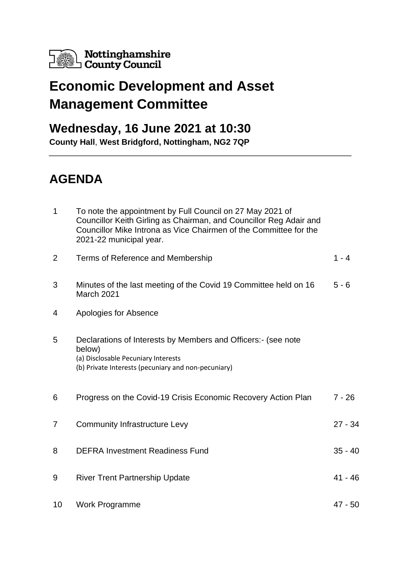

## **Economic Development and Asset Management Committee**

## **Wednesday, 16 June 2021 at 10:30**

**County Hall**, **West Bridgford, Nottingham, NG2 7QP**

## **AGENDA**

| $\mathbf{1}$ | To note the appointment by Full Council on 27 May 2021 of<br>Councillor Keith Girling as Chairman, and Councillor Reg Adair and<br>Councillor Mike Introna as Vice Chairmen of the Committee for the<br>2021-22 municipal year. |           |
|--------------|---------------------------------------------------------------------------------------------------------------------------------------------------------------------------------------------------------------------------------|-----------|
| 2            | Terms of Reference and Membership                                                                                                                                                                                               | $1 - 4$   |
| 3            | Minutes of the last meeting of the Covid 19 Committee held on 16<br>March 2021                                                                                                                                                  | $5 - 6$   |
| 4            | Apologies for Absence                                                                                                                                                                                                           |           |
| 5            | Declarations of Interests by Members and Officers: (see note<br>below)<br>(a) Disclosable Pecuniary Interests<br>(b) Private Interests (pecuniary and non-pecuniary)                                                            |           |
| 6            | Progress on the Covid-19 Crisis Economic Recovery Action Plan                                                                                                                                                                   | 7 - 26    |
| 7            | <b>Community Infrastructure Levy</b>                                                                                                                                                                                            | $27 - 34$ |
| 8            | <b>DEFRA Investment Readiness Fund</b>                                                                                                                                                                                          | $35 - 40$ |
| 9            | <b>River Trent Partnership Update</b>                                                                                                                                                                                           | 41 - 46   |
| 10           | <b>Work Programme</b>                                                                                                                                                                                                           | 47 - 50   |